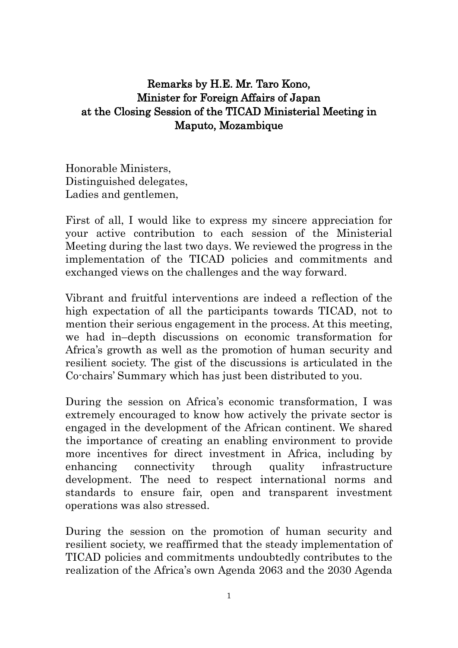## Remarks by H.E. Mr. Taro Kono, Minister for Foreign Affairs of Japan at the Closing Session of the TICAD Ministerial Meeting in Maputo, Mozambique

Honorable Ministers, Distinguished delegates, Ladies and gentlemen,

First of all, I would like to express my sincere appreciation for your active contribution to each session of the Ministerial Meeting during the last two days. We reviewed the progress in the implementation of the TICAD policies and commitments and exchanged views on the challenges and the way forward.

Vibrant and fruitful interventions are indeed a reflection of the high expectation of all the participants towards TICAD, not to mention their serious engagement in the process. At this meeting, we had in–depth discussions on economic transformation for Africa's growth as well as the promotion of human security and resilient society. The gist of the discussions is articulated in the Co-chairs' Summary which has just been distributed to you.

During the session on Africa's economic transformation, I was extremely encouraged to know how actively the private sector is engaged in the development of the African continent. We shared the importance of creating an enabling environment to provide more incentives for direct investment in Africa, including by enhancing connectivity through quality infrastructure development. The need to respect international norms and standards to ensure fair, open and transparent investment operations was also stressed.

During the session on the promotion of human security and resilient society, we reaffirmed that the steady implementation of TICAD policies and commitments undoubtedly contributes to the realization of the Africa's own Agenda 2063 and the 2030 Agenda